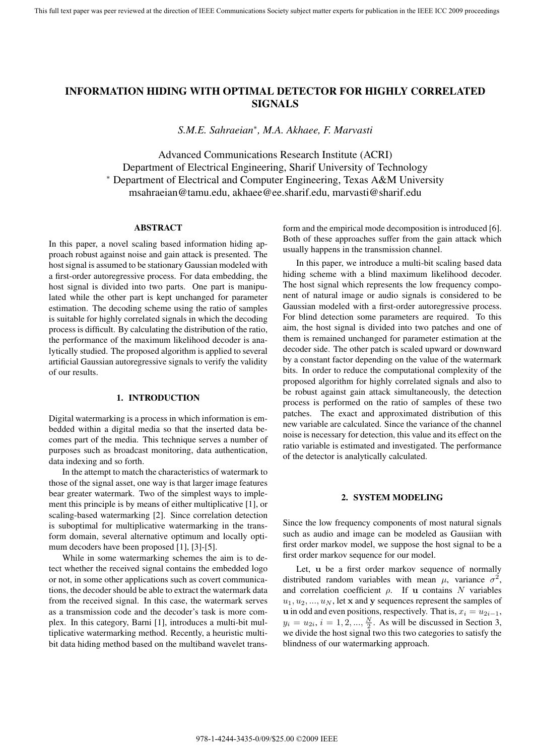# **INFORMATION HIDING WITH OPTIMAL DETECTOR FOR HIGHLY CORRELATED SIGNALS**

*S.M.E. Sahraeian*∗*, M.A. Akhaee, F. Marvasti*

Advanced Communications Research Institute (ACRI) Department of Electrical Engineering, Sharif University of Technology <sup>∗</sup> Department of Electrical and Computer Engineering, Texas A&M University msahraeian@tamu.edu, akhaee@ee.sharif.edu, marvasti@sharif.edu

#### **ABSTRACT**

In this paper, a novel scaling based information hiding approach robust against noise and gain attack is presented. The host signal is assumed to be stationary Gaussian modeled with a first-order autoregressive process. For data embedding, the host signal is divided into two parts. One part is manipulated while the other part is kept unchanged for parameter estimation. The decoding scheme using the ratio of samples is suitable for highly correlated signals in which the decoding process is difficult. By calculating the distribution of the ratio, the performance of the maximum likelihood decoder is analytically studied. The proposed algorithm is applied to several artificial Gaussian autoregressive signals to verify the validity of our results.

# **1. INTRODUCTION**

Digital watermarking is a process in which information is embedded within a digital media so that the inserted data becomes part of the media. This technique serves a number of purposes such as broadcast monitoring, data authentication, data indexing and so forth.

In the attempt to match the characteristics of watermark to those of the signal asset, one way is that larger image features bear greater watermark. Two of the simplest ways to implement this principle is by means of either multiplicative [1], or scaling-based watermarking [2]. Since correlation detection is suboptimal for multiplicative watermarking in the transform domain, several alternative optimum and locally optimum decoders have been proposed [1], [3]-[5].

While in some watermarking schemes the aim is to detect whether the received signal contains the embedded logo or not, in some other applications such as covert communications, the decoder should be able to extract the watermark data from the received signal. In this case, the watermark serves as a transmission code and the decoder's task is more complex. In this category, Barni [1], introduces a multi-bit multiplicative watermarking method. Recently, a heuristic multibit data hiding method based on the multiband wavelet transform and the empirical mode decomposition is introduced [6]. Both of these approaches suffer from the gain attack which usually happens in the transmission channel.

In this paper, we introduce a multi-bit scaling based data hiding scheme with a blind maximum likelihood decoder. The host signal which represents the low frequency component of natural image or audio signals is considered to be Gaussian modeled with a first-order autoregressive process. For blind detection some parameters are required. To this aim, the host signal is divided into two patches and one of them is remained unchanged for parameter estimation at the decoder side. The other patch is scaled upward or downward by a constant factor depending on the value of the watermark bits. In order to reduce the computational complexity of the proposed algorithm for highly correlated signals and also to be robust against gain attack simultaneously, the detection process is performed on the ratio of samples of these two patches. The exact and approximated distribution of this new variable are calculated. Since the variance of the channel noise is necessary for detection, this value and its effect on the ratio variable is estimated and investigated. The performance of the detector is analytically calculated.

### **2. SYSTEM MODELING**

Since the low frequency components of most natural signals such as audio and image can be modeled as Gausiian with first order markov model, we suppose the host signal to be a first order markov sequence for our model.

Let, **u** be a first order markov sequence of normally distributed random variables with mean  $\mu$ , variance  $\sigma^2$ , and correlation coefficient  $\rho$ . If **u** contains N variables  $u_1, u_2, \ldots, u_N$ , let **x** and **y** sequences represent the samples of **u** in odd and even positions, respectively. That is,  $x_i = u_{2i-1}$ ,  $y_i = u_{2i}, i = 1, 2, ..., \frac{N}{2}$ . As will be discussed in Section 3, we divide the host signal two this two categories to satisfy the we divide the host signal two this two categories to satisfy the blindness of our watermarking approach.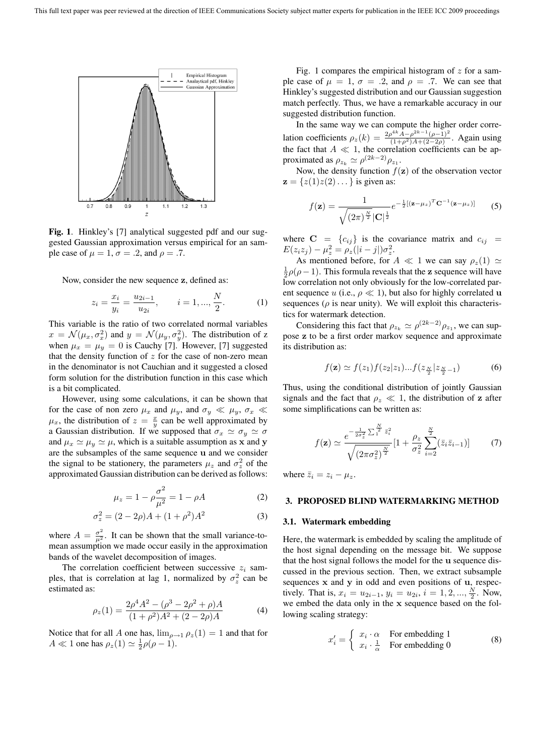

Fig. 1. Hinkley's [7] analytical suggested pdf and our suggested Gaussian approximation versus empirical for an sample case of  $\mu = 1$ ,  $\sigma = .2$ , and  $\rho = .7$ .

Now, consider the new sequence **z**, defined as:

$$
z_i = \frac{x_i}{y_i} = \frac{u_{2i-1}}{u_{2i}}, \qquad i = 1, ..., \frac{N}{2}.
$$
 (1)

This variable is the ratio of two correlated normal variables  $x = \mathcal{N}(\mu_x, \sigma_x^2)$  and  $y = \mathcal{N}(\mu_y, \sigma_y^2)$ . The distribution of z<br>when  $\mu_y = \mu_y = 0$  is Cauchy [7]. However [7] suggested when  $\mu_x = \mu_y = 0$  is Cauchy [7]. However, [7] suggested that the density function of  $z$  for the case of non-zero mean in the denominator is not Cauchian and it suggested a closed form solution for the distribution function in this case which is a bit complicated.

However, using some calculations, it can be shown that for the case of non zero  $\mu_x$  and  $\mu_y$ , and  $\sigma_y \ll \mu_y$ ,  $\sigma_x \ll \mu_y$  $\mu_x$ , the distribution of  $z = \frac{x}{y}$  can be well approximated by<br>a Gaussian distribution. If we supposed that  $\sigma_z \approx \sigma_z \approx \sigma_z$ a Gaussian distribution. If we supposed that  $\sigma_x \simeq \sigma_y \simeq \sigma_z$ and  $\mu_x \simeq \mu_y \simeq \mu$ , which is a suitable assumption as **x** and **y** are the subsamples of the same sequence **u** and we consider the signal to be stationery, the parameters  $\mu_z$  and  $\sigma_z^2$  of the approximated Gaussian distribution can be derived as follows:

$$
\mu_z = 1 - \rho \frac{\sigma^2}{\mu^2} = 1 - \rho A \tag{2}
$$

$$
\sigma_z^2 = (2 - 2\rho)A + (1 + \rho^2)A^2 \tag{3}
$$

where  $A = \frac{\sigma^2}{\mu^2}$ . It can be shown that the small variance-to-<br>mean assumption we made occur easily in the approximation mean assumption we made occur easily in the approximation bands of the wavelet decomposition of images.

The correlation coefficient between successive  $z_i$  samples, that is correlation at lag 1, normalized by  $\sigma_z^2$  can be estimated as:

$$
\rho_z(1) = \frac{2\rho^4 A^2 - (\rho^3 - 2\rho^2 + \rho)A}{(1 + \rho^2)A^2 + (2 - 2\rho)A}
$$
(4)

Notice that for all A one has,  $\lim_{\rho \to 1} \rho_z(1) = 1$  and that for  $A \ll 1$  one has  $\rho_z(1) \simeq \frac{1}{2}\rho(\rho - 1)$ .

Fig. 1 compares the empirical histogram of  $z$  for a sample case of  $\mu = 1$ ,  $\sigma = .2$ , and  $\rho = .7$ . We can see that Hinkley's suggested distribution and our Gaussian suggestion match perfectly. Thus, we have a remarkable accuracy in our suggested distribution function.

In the same way we can compute the higher order correlation coefficients  $\rho_z(k) = \frac{2\rho^{4k}A - \rho^{2k-1}(\rho-1)^2}{(1+\rho^2)A + (2-2\rho)}$ . Again using the fact that  $A \ll 1$ , the correlation coefficients can be approximated as  $a \approx a^{(2k-2)}a$ proximated as  $\rho_{z_k} \simeq \rho^{(2k-2)} \rho_{z_1}$ .

Now, the density function  $f(z)$  of the observation vector  $z = \{z(1)z(2) \dots \}$  is given as:

$$
f(\mathbf{z}) = \frac{1}{\sqrt{(2\pi)^{\frac{N}{2}}} |\mathbf{C}|^{\frac{1}{2}}} e^{-\frac{1}{2}[(\mathbf{z}-\boldsymbol{\mu}_z)^T \mathbf{C}^{-1} (\mathbf{z}-\boldsymbol{\mu}_z)]}
$$
 (5)

where  $C = \{c_{ij}\}\$ is the covariance matrix and  $c_{ij}$  =  $E(z_i z_j) - \mu_z^2 = \rho_z(|i - j|)\sigma_z^2$ .<br>As mentioned before for

As mentioned before, for  $A \ll 1$  we can say  $\rho_z(1) \simeq \frac{1}{2} \rho(\rho - 1)$ . This formula reveals that the z sequence will have  $\frac{1}{2}\rho(\rho-1)$ . This formula reveals that the **z** sequence will have low correlation not only obviously for the low-correlated parent sequence u (i.e.,  $\rho \ll 1$ ), but also for highly correlated **u**<br>sequences (*o* is near unity). We will exploit this characterissequences ( $\rho$  is near unity). We will exploit this characteristics for watermark detection.

Considering this fact that  $\rho_{z_k} \simeq \rho^{(2k-2)} \rho_{z_1}$ , we can suppose **z** to be a first order markov sequence and approximate its distribution as:

$$
f(\mathbf{z}) \simeq f(z_1) f(z_2 | z_1) \dots f(z_{\frac{N}{2}} | z_{\frac{N}{2} - 1}) \tag{6}
$$

Thus, using the conditional distribution of jointly Gaussian signals and the fact that  $\rho_z \ll 1$ , the distribution of **z** after some simplifications can be written as: some simplifications can be written as:

$$
f(\mathbf{z}) \simeq \frac{e^{-\frac{1}{2\sigma_z^2} \sum_{1}^{\frac{N}{2}} \bar{z}_i^2}}{\sqrt{\left(2\pi\sigma_z^2\right)^{\frac{N}{2}}}} [1 + \frac{\rho_z}{\sigma_z^2} \sum_{i=2}^{\frac{N}{2}} (\bar{z}_i \bar{z}_{i-1})] \tag{7}
$$

where  $\bar{z}_i = z_i - \mu_z$ .

#### **3. PROPOSED BLIND WATERMARKING METHOD**

#### **3.1. Watermark embedding**

Here, the watermark is embedded by scaling the amplitude of the host signal depending on the message bit. We suppose that the host signal follows the model for the **u** sequence discussed in the previous section. Then, we extract subsample sequences **x** and **y** in odd and even positions of **u**, respectively. That is,  $x_i = u_{2i-1}$ ,  $y_i = u_{2i}$ ,  $i = 1, 2, ..., \frac{N}{2}$ . Now, we embed the data only in the **x** sequence based on the following scaling strategy:

$$
x'_{i} = \begin{cases} x_{i} \cdot \alpha & \text{For embedding 1} \\ x_{i} \cdot \frac{1}{\alpha} & \text{For embedding 0} \end{cases}
$$
 (8)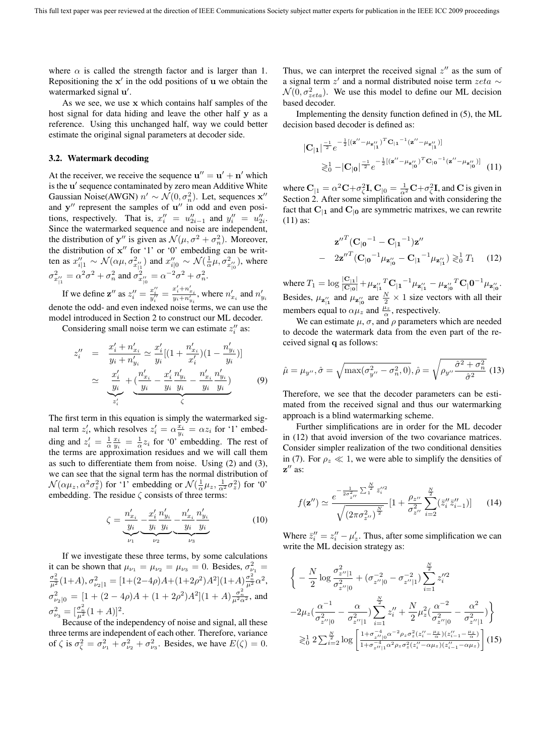where  $\alpha$  is called the strength factor and is larger than 1. Repositioning the  $x'$  in the odd positions of  $u$  we obtain the watermarked signal **u** .

As we see, we use **x** which contains half samples of the host signal for data hiding and leave the other half **y** as a reference. Using this unchanged half, way we could better estimate the original signal parameters at decoder side.

## **3.2. Watermark decoding**

At the receiver, we receive the sequence  $\mathbf{u}'' = \mathbf{u}' + \mathbf{n}'$  which is the **u**' sequence contaminated by zero mean Additive White Gaussian Noise(AWGN)  $n' \sim \mathcal{N}(0, \sigma_n^2)$ . Let, sequences **x**<sup>*n*</sup> and **y**<sup>*n*</sup> represent the samples of **u**<sup>*n*</sup> in odd and even posiand **y**" represent the samples of **u**" in odd and even positions, respectively. That is,  $x_i'' = u_{2i-1}''$  and  $y_i'' = u_{2i}''$ .<br>Since the watermarked sequence and noise are independent Since the watermarked sequence and noise are independent, the distribution of **y''** is given as  $\mathcal{N}(\mu, \sigma^2 + \sigma_n^2)$ . Moreover, the distribution of **x''** for '1' or '0' embedding can be written as  $x''_{i|1} \sim \mathcal{N}(\alpha \mu, \sigma^2_{x''_{i|1}})$  and  $x''_{i|0} \sim \mathcal{N}(\frac{1}{\alpha} \mu, \sigma^2_{x''_{i|0}})$ , where  $\sigma_{x_{11}'}^2 = \alpha^2 \sigma^2 + \sigma_n^2$  and  $\sigma_{x_{10}'}^2 = \alpha^{-2} \sigma^2 + \sigma_n^2$ .

If we define  $\mathbf{z}''$  as  $z''_i = \frac{x''_i}{y''_i} = \frac{x'_i + n'_{x_i}}{y_i + n'_{y_i}}$ , where  $n'_{x_i}$  and  $n'_{y_i}$ denote the odd- and even indexed noise terms, we can use the model introduced in Section 2 to construct our ML decoder.

Considering small noise term we can estimate  $z_i''$  as:

$$
z_i'' = \frac{x_i' + n_{x_i}'}{y_i + n_{y_i}'} \simeq \frac{x_i'}{y_i} [(1 + \frac{n_{x_i}'}{x_i'})(1 - \frac{n_{y_i}'}{y_i})]
$$
  
 
$$
\simeq \frac{x_i'}{y_i} + (\frac{n_{x_i}'}{y_i} - \frac{x_i'}{y_i} \frac{n_{y_i}'}{y_i} - \frac{n_{x_i}'}{y_i} \frac{n_{y_i}'}{y_i})
$$
(9)

The first term in this equation is simply the watermarked signal term  $z'_i$ , which resolves  $z'_i = \alpha \frac{\dot{x}_i}{y_i} = \alpha z_i$  for '1' embedding and  $z'_i = \frac{1}{\alpha} \frac{x_i}{y_i} = \frac{1}{\alpha} z_i$  for '0' embedding. The rest of the terms are approximation residues and we will call them as such to differentiate them from noise. Using (2) and (3), we can see that the signal term has the normal distribution of  $\mathcal{N}(\alpha \mu_z, \alpha^2 \sigma_z^2)$  for '1' embedding or  $\mathcal{N}(\frac{1}{\alpha} \mu_z, \frac{1}{\alpha^2} \sigma_z^2)$  for '0'<br>embedding. The residue  $\zeta$  consists of three terms: embedding. The residue  $\zeta$  consists of three terms:

$$
\zeta = \underbrace{\frac{n'_{x_i}}{y_i} - \frac{x'_i}{y_i} \frac{n'_{y_i}}{y_i} - \frac{n'_{x_i}}{y_i} \frac{n'_{y_i}}{y_i}}_{\nu_2} \tag{10}
$$

If we investigate these three terms, by some calculations it can be shown that  $\mu_{\nu_1} = \mu_{\nu_2} = \mu_{\nu_3} = 0$ . Besides,  $\sigma_{\nu_1}^2 = \sigma^2$  $\frac{\sigma_n^2}{\mu^2}(1+A), \sigma_{\nu_2|1}^2 = [1+(2-4\rho)A+(1+2\rho^2)A^2](1+A)\frac{\sigma_n^2}{\mu^2}\alpha^2,$  $\sigma_{\nu_2|0}^2 = [1 + (2 - 4\rho)A + (1 + 2\rho^2)A^2](1 + A)\frac{\sigma_n^2}{\mu^2\alpha^2}$ , and  $\sigma_{\nu_3}^2 = \left[\frac{\sigma_n^2}{\mu^2}(1+A)\right]^2$ .<br>Because of the ine

Because of the independency of noise and signal, all these three terms are independent of each other. Therefore, variance of  $\zeta$  is  $\sigma_{\zeta}^2 = \sigma_{\nu_1}^2 + \sigma_{\nu_2}^2 + \sigma_{\nu_3}^2$ . Besides, we have  $E(\zeta) = 0$ . Thus, we can interpret the received signal  $z''$  as the sum of a signal term  $z'$  and a normal distributed noise term  $zeta \sim$  $\mathcal{N}(0, \sigma_{zeta}^2)$ . We use this model to define our ML decision hased decoder based decoder.

Implementing the density function defined in (5), the ML decision based decoder is defined as:

$$
|\mathbf{C}_{|\mathbf{1}}|^{\frac{-1}{2}} e^{-\frac{1}{2} [(\mathbf{z}'' - \mu_{\mathbf{z}_{|\mathbf{1}}''})^T \mathbf{C}_{|\mathbf{1}}^{-1} (\mathbf{z}'' - \mu_{\mathbf{z}_{|\mathbf{1}}''})]} \geq \begin{cases} |\mathbf{C}_{|\mathbf{0}}|^{\frac{-1}{2}} e^{-\frac{1}{2} [(\mathbf{z}'' - \mu_{\mathbf{z}_{|\mathbf{0}}''})^T \mathbf{C}_{|\mathbf{0}}^{-1} (\mathbf{z}'' - \mu_{\mathbf{z}_{|\mathbf{0}}''})]} & (\mathbf{11}) \end{cases}
$$

where  $C_{11} = \alpha^2 C + \sigma_\zeta^2 I$ ,  $C_{10} = \frac{1}{\alpha^2} C + \sigma_\zeta^2 I$ , and C is given in<br>Section 2. After some simplification and with considering the Section 2. After some simplification and with considering the fact that  $\mathbf{C}_{|\mathbf{1}}$  and  $\mathbf{C}_{|\mathbf{0}}$  are symmetric matrixes, we can rewrite (11) as:

$$
\mathbf{z}^{\prime\prime T} (\mathbf{C}_{|\mathbf{0}}^{-1} - \mathbf{C}_{|\mathbf{1}}^{-1}) \mathbf{z}^{\prime\prime} - 2\mathbf{z}^{\prime\prime T} (\mathbf{C}_{|\mathbf{0}}^{-1} \mu_{\mathbf{z}_{|\mathbf{0}}^{\prime\prime}} - \mathbf{C}_{|\mathbf{1}}^{-1} \mu_{\mathbf{z}_{|\mathbf{1}}^{\prime\prime}}) \gtrsim_{0}^{1} T_{1}
$$
 (12)

where  $T_1 = \log \frac{|C_{11}|}{|C_{10}|} + \mu_{\mathbf{z}_{11}^{"}}{}^T \mathbf{C}_{|1}^{-1} \mu_{\mathbf{z}_{11}^{"}} - \mu_{\mathbf{z}_{10}^{"}}{}^T \mathbf{C}_{|0}^{-1} \mu_{\mathbf{z}_{10}^{"}}.$ Besides,  $\mu_{\mathbf{z}''_1}$  and  $\mu_{\mathbf{z}''_1}$  are  $\frac{N}{2} \times 1$  size vectors with all their members equal to  $\alpha \mu_z$  and  $\frac{\mu_z}{\alpha}$ , respectively.

We can estimate  $\mu$ ,  $\sigma$ , and  $\rho$  parameters which are needed to decode the watermark data from the even part of the received signal **q** as follows:

$$
\hat{\mu} = \mu_{y''}, \hat{\sigma} = \sqrt{\max(\sigma_{y''}^2 - \sigma_n^2, 0)}, \hat{\rho} = \sqrt{\rho_{y''} \frac{\hat{\sigma}^2 + \sigma_n^2}{\hat{\sigma}^2}} \tag{13}
$$

Therefore, we see that the decoder parameters can be estimated from the received signal and thus our watermarking approach is a blind watermarking scheme.

Further simplifications are in order for the ML decoder in (12) that avoid inversion of the two covariance matrices. Consider simpler realization of the two conditional densities in (7). For  $\rho_z \ll 1$ , we were able to simplify the densities of  $\sigma''$  as: **z**" as:

$$
f(\mathbf{z}^{"}) \simeq \frac{e^{-\frac{1}{2\sigma_{z}^{2}N}\sum_{1}^{\frac{N}{2}}\bar{z}_{i}^{"2}}}{\sqrt{\left(2\pi\sigma_{z}^{2}\right)^{\frac{N}{2}}}}\left[1+\frac{\rho_{z}''}{\sigma_{z}^{2}}\sum_{i=2}^{\frac{N}{2}}(\bar{z}_{i}''\bar{z}_{i-1}'')\right] \tag{14}
$$

Where  $\bar{z}_i^{\prime\prime} = z_i^{\prime\prime} - \mu_z^{\prime}$ . Thus, after some simplification we can write the MI decision strategy as: write the ML decision strategy as:

$$
\begin{split}\n&\left\{-\frac{N}{2}\log\frac{\sigma_{z''|1}^{2}}{\sigma_{z''|0}^{2}}+(\sigma_{z''|0}^{-2}-\sigma_{z''|1}^{-2})\sum_{i=1}^{\frac{N}{2}}z_{i''}^{\prime 2}\right.\\
&\left.-2\mu_{z}\left(\frac{\alpha^{-1}}{\sigma_{z''|0}^{2}}-\frac{\alpha}{\sigma_{z''|1}^{2}}\right)\sum_{i=1}^{\frac{N}{2}}z_{i}^{\prime\prime}+\frac{N}{2}\mu_{z}^{2}\left(\frac{\alpha^{-2}}{\sigma_{z''|0}^{2}}-\frac{\alpha^{2}}{\sigma_{z''|1}^{2}}\right)\right\} \\
&\gtrsim&\frac{1}{6}\,2\sum_{i=2}^{\frac{N}{2}}\log\left[\frac{1+\sigma_{z''|0}^{-4}\alpha^{-2}\rho_{z}\sigma_{z}^{2}(z_{i}^{\prime\prime}-\frac{\mu_{z}}{\alpha})(z_{i-1}^{\prime\prime}-\frac{\mu_{z}}{\alpha})}{(1+\sigma_{z''|1}^{-4}\alpha^{2}\rho_{z}\sigma_{z}^{2}(z_{i}^{\prime\prime}-\alpha\mu_{z})(z_{i-1}^{\prime\prime}-\alpha\mu_{z})}\right]\n\end{split} \tag{15}
$$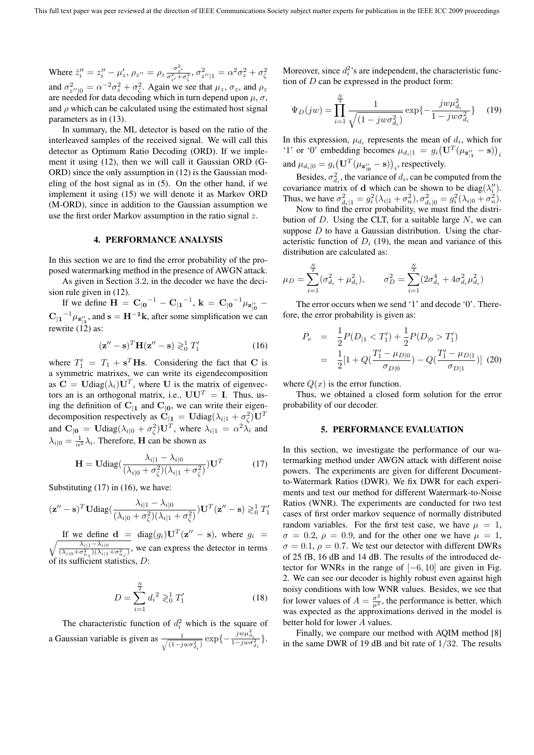Where  $\bar{z}_i'' = z_i'' - \mu'_z$ ,  $\rho_{z''} = \rho_z \frac{\sigma_{z'}^2}{\sigma_{z'}^2 + \sigma_{\zeta}^2}$ ,  $\sigma_{z''|1}^2 = \alpha^2 \sigma_z^2 + \sigma_{\zeta}^2$ and  $\sigma_{z''/0}^2 = \alpha^{-2} \sigma_z^2 + \sigma_{\zeta}^2$ . Again we see that  $\mu_z$ ,  $\sigma_z$ , and  $\rho_z$ <br>are needed for data decoding which in turn depend upon  $\mu_z$ are needed for data decoding which in turn depend upon  $\mu$ ,  $\sigma$ , and  $\rho$  which can be calculated using the estimated host signal parameters as in (13).

In summary, the ML detector is based on the ratio of the interleaved samples of the received signal. We will call this detector as Optimum Ratio Decoding (ORD). If we implement it using (12), then we will call it Gaussian ORD (G-ORD) since the only assumption in (12) is the Gaussian modeling of the host signal as in (5). On the other hand, if we implement it using (15) we will denote it as Markov ORD (M-ORD), since in addition to the Gaussian assumption we use the first order Markov assumption in the ratio signal z.

# **4. PERFORMANCE ANALYSIS**

In this section we are to find the error probability of the proposed watermarking method in the presence of AWGN attack.

As given in Section 3.2, in the decoder we have the decision rule given in (12).

If we define  $\mathbf{H} = \mathbf{C}_{|0}^{-1} - \mathbf{C}_{|1}^{-1}$ ,  $\mathbf{k} = \mathbf{C}_{|0}^{-1} \mu_{\mathbf{z}_{|0}^{"}} - \mathbf{C}_{|1}^{-1} \mu_{\mathbf{z}_{|0}^{"}}$  $\mathbf{C_{|1}}^{-1}\mu_{\mathbf{z}''_{|1}}$  $\frac{1}{2}$ , and **s** = **H**<sup>-1</sup>**k**, after some simplification we can rewrite (12) as:

$$
(\mathbf{z}'' - \mathbf{s})^T \mathbf{H} (\mathbf{z}'' - \mathbf{s}) \gtrless_0^1 T_1' \tag{16}
$$

where  $T'_1 = T_1 + s^T$ **Hs**. Considering the fact that **C** is a symmetric matrixes, we can write its eigendeconnosition a symmetric matrixes, we can write its eigendecomposition as  $C = U \text{diag}(\lambda_i) U^T$ , where U is the matrix of eigenvectors an is an orthogonal matrix, i.e.,  $UU^T = I$ . Thus, using the definition of  $\mathbf{C}_{|1}$  and  $\mathbf{C}_{|0}$ , we can write their eigendecomposition respectively as  $\mathbf{C}_{11} = \mathbf{U} \text{diag}(\lambda_{i|1} + \sigma_{\zeta}^2) \mathbf{U}^T$ and  $\mathbf{C}_{|\mathbf{0}} = \mathbf{U} \text{diag}(\lambda_{i|0} + \sigma_{\zeta}^2) \mathbf{U}^T$ , where  $\lambda_{i|1} = \alpha^2 \lambda_i$  and  $\lambda_{i|0} = \frac{1}{\alpha^2} \lambda_i$ . Therefore, **H** can be shown as

$$
\mathbf{H} = \mathbf{U} \text{diag}\left(\frac{\lambda_{i|1} - \lambda_{i|0}}{(\lambda_{i|0} + \sigma_{\zeta}^2)(\lambda_{i|1} + \sigma_{\zeta}^2)}\right) \mathbf{U}^T
$$
 (17)

Substituting (17) in (16), we have:

$$
(\mathbf{z}'' - \mathbf{s})^T \mathbf{U} \text{diag}\left(\frac{\lambda_{i|1} - \lambda_{i|0}}{(\lambda_{i|0} + \sigma_{\zeta}^2)(\lambda_{i|1} + \sigma_{\zeta}^2)}\right) \mathbf{U}^T (\mathbf{z}'' - \mathbf{s}) \gtrless_0^1 T'_1
$$

If we define **d** = diag( $g_i$ )**U**<sup>T</sup>( $\mathbf{z}'' - \mathbf{s}$ ), where  $g_i = \sqrt{\frac{\lambda_{i|1} - \lambda_{i|0}}{\lambda_{i|1} - \lambda_{i|0}}}$  we can express the detector in terms  $\frac{\lambda_{i|1}-\lambda_{i|0}}{(\lambda_{i|0}+\sigma_{n_z}^2)(\lambda_{i|1}+\sigma_{n_z}^2)}$ , we can express the detector in terms of its sufficient statistics, D:

$$
D = \sum_{i=1}^{\frac{N}{2}} d_i^2 \gtrless_0^1 T'_1
$$
 (18)

The characteristic function of  $d_i^2$  which is the square of a Gaussian variable is given as  $\frac{1}{\sqrt{(1-i)}}$  $\frac{1}{(1-jw\sigma_{d_i}^2)} \exp\{-\frac{jw\mu_{d_i}^2}{1-jw\sigma_{d_i}^2}\}.$ 

Moreover, since  $d_i^2$ 's are independent, the characteristic function of  $D$  can be expressed in the product form:

$$
\Psi_D(jw) = \prod_{i=1}^{\frac{N}{2}} \frac{1}{\sqrt{(1 - jw\sigma_{d_i}^2)}} \exp\{-\frac{jw\mu_{d_i}^2}{1 - jw\sigma_{d_i}^2}\} \quad (19)
$$

In this expression,  $\mu_{d_i}$  represents the mean of  $d_i$ , which for '1' or '0' embedding becomes  $\mu_{d_i|1} = g_i(\mathbf{U}^T(\mu_{\mathbf{z}''_{|1})})$  $\binom{n}{1} - s)$ <sub>i</sub> and  $\mu_{d_i|0} = g_i(\mathbf{U}^T(\mu_{\mathbf{z}''_i|0)})$  $\binom{n}{0}$  – **s**)  $\binom{n}{i}$ , respectively.

Besides,  $\sigma_{d_i}^2$ , the variance of  $d_i$ , can be computed from the covariance matrix of **d** which can be shown to be diag( $\lambda_i''$ ).<br>Thus, we have  $\sigma_{d_i|1}^2 = g_i^2(\lambda_{i|1} + \sigma_n^2)$ ,  $\sigma_{d_i|0}^2 = g_i^2(\lambda_{i|0} + \sigma_n^2)$ .<br>Now to find the error probability we must find the distri-

Now to find the error probability, we must find the distribution of  $D$ . Using the CLT, for a suitable large  $N$ , we can suppose  $D$  to have a Gaussian distribution. Using the characteristic function of  $D_i$  (19), the mean and variance of this distribution are calculated as:

$$
\mu_D = \sum_{i=1}^{\frac{N}{2}} (\sigma_{d_i}^2 + \mu_{d_i}^2), \qquad \sigma_D^2 = \sum_{i=1}^{\frac{N}{2}} (2\sigma_{d_i}^4 + 4\sigma_{d_i}^2 \mu_{d_i}^2)
$$

The error occurs when we send '1' and decode '0'. Therefore, the error probability is given as:

$$
P_e = \frac{1}{2} P(D_{|1} < T_1') + \frac{1}{2} P(D_{|0} > T_1')
$$
\n
$$
= \frac{1}{2} [1 + Q(\frac{T_1' - \mu_{D|0}}{\sigma_{D|0}}) - Q(\frac{T_1' - \mu_{D|1}}{\sigma_{D|1}})] \tag{20}
$$

where  $Q(x)$  is the error function.

Thus, we obtained a closed form solution for the error probability of our decoder.

#### **5. PERFORMANCE EVALUATION**

In this section, we investigate the performance of our watermarking method under AWGN attack with different noise powers. The experiments are given for different Documentto-Watermark Ratios (DWR). We fix DWR for each experiments and test our method for different Watermark-to-Noise Ratios (WNR). The experiments are conducted for two test cases of first order markov sequence of normally distributed random variables. For the first test case, we have  $\mu = 1$ ,  $\sigma = 0.2$ ,  $\rho = 0.9$ , and for the other one we have  $\mu = 1$ ,  $\sigma = 0.1$ ,  $\rho = 0.7$ . We test our detector with different DWRs of 25 fB, 16 dB and 14 dB. The results of the introduced detector for WNRs in the range of  $[-6, 10]$  are given in Fig. 2. We can see our decoder is highly robust even against high noisy conditions with low WNR values. Besides, we see that for lower values of  $A = \frac{\sigma^2}{\mu^2}$ , the performance is better, which<br>was expected as the approximations derived in the model is was expected as the approximations derived in the model is better hold for lower A values.

Finally, we compare our method with AQIM method [8] in the same DWR of 19 dB and bit rate of  $1/32$ . The results